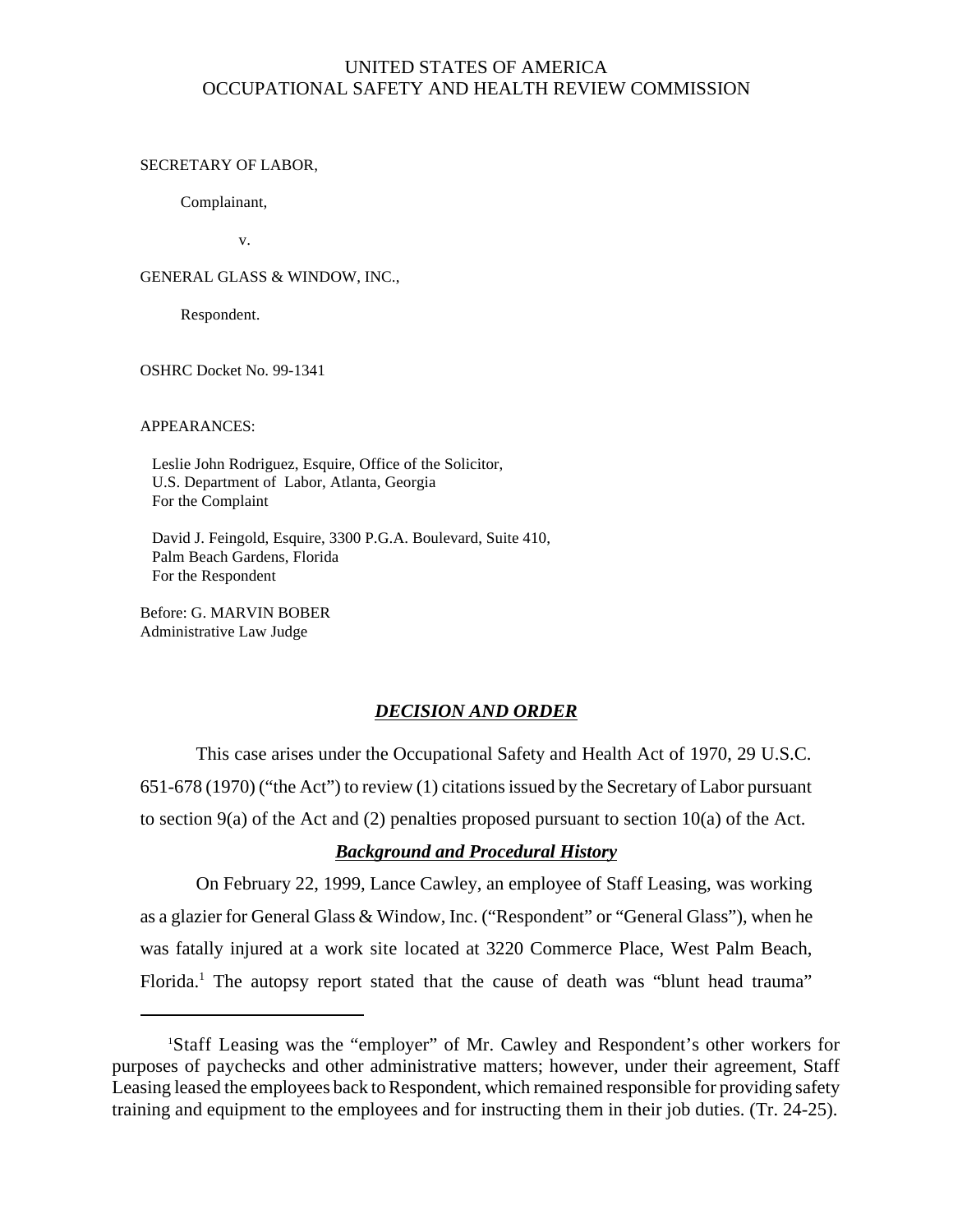# UNITED STATES OF AMERICA OCCUPATIONAL SAFETY AND HEALTH REVIEW COMMISSION

#### SECRETARY OF LABOR,

Complainant,

v.

GENERAL GLASS & WINDOW, INC.,

Respondent.

OSHRC Docket No. 99-1341

APPEARANCES:

 Leslie John Rodriguez, Esquire, Office of the Solicitor, U.S. Department of Labor, Atlanta, Georgia For the Complaint

 David J. Feingold, Esquire, 3300 P.G.A. Boulevard, Suite 410, Palm Beach Gardens, Florida For the Respondent

Before: G. MARVIN BOBER Administrative Law Judge

### *DECISION AND ORDER*

This case arises under the Occupational Safety and Health Act of 1970, 29 U.S.C. 651-678 (1970) ("the Act") to review (1) citations issued by the Secretary of Labor pursuant to section 9(a) of the Act and (2) penalties proposed pursuant to section 10(a) of the Act.

# *Background and Procedural History*

On February 22, 1999, Lance Cawley, an employee of Staff Leasing, was working as a glazier for General Glass & Window, Inc. ("Respondent" or "General Glass"), when he was fatally injured at a work site located at 3220 Commerce Place, West Palm Beach, Florida.<sup>1</sup> The autopsy report stated that the cause of death was "blunt head trauma"

<sup>1</sup> Staff Leasing was the "employer" of Mr. Cawley and Respondent's other workers for purposes of paychecks and other administrative matters; however, under their agreement, Staff Leasing leased the employees back to Respondent, which remained responsible for providing safety training and equipment to the employees and for instructing them in their job duties. (Tr. 24-25).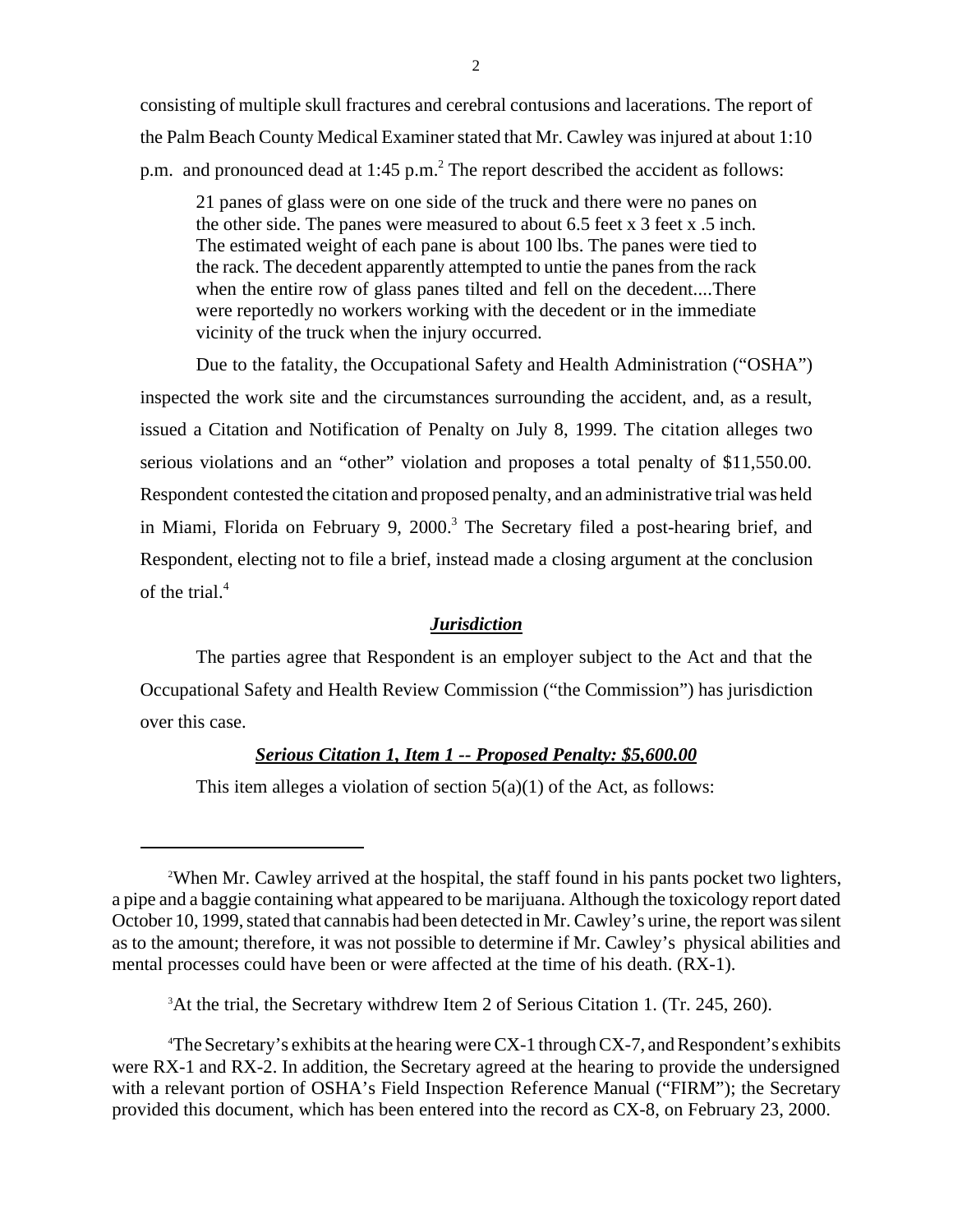consisting of multiple skull fractures and cerebral contusions and lacerations. The report of the Palm Beach County Medical Examiner stated that Mr. Cawley was injured at about 1:10 p.m. and pronounced dead at  $1:45$  p.m.<sup>2</sup> The report described the accident as follows:

21 panes of glass were on one side of the truck and there were no panes on the other side. The panes were measured to about 6.5 feet x 3 feet x .5 inch. The estimated weight of each pane is about 100 lbs. The panes were tied to the rack. The decedent apparently attempted to untie the panes from the rack when the entire row of glass panes tilted and fell on the decedent....There were reportedly no workers working with the decedent or in the immediate vicinity of the truck when the injury occurred.

 Due to the fatality, the Occupational Safety and Health Administration ("OSHA") inspected the work site and the circumstances surrounding the accident, and, as a result, issued a Citation and Notification of Penalty on July 8, 1999. The citation alleges two serious violations and an "other" violation and proposes a total penalty of \$11,550.00. Respondent contested the citation and proposed penalty, and an administrative trial was held in Miami, Florida on February 9, 2000.<sup>3</sup> The Secretary filed a post-hearing brief, and Respondent, electing not to file a brief, instead made a closing argument at the conclusion of the trial.<sup>4</sup>

## *Jurisdiction*

The parties agree that Respondent is an employer subject to the Act and that the Occupational Safety and Health Review Commission ("the Commission") has jurisdiction over this case.

## *Serious Citation 1, Item 1 -- Proposed Penalty: \$5,600.00*

This item alleges a violation of section  $5(a)(1)$  of the Act, as follows:

<sup>3</sup>At the trial, the Secretary withdrew Item 2 of Serious Citation 1. (Tr. 245, 260).

4 The Secretary's exhibits at the hearing were CX-1 through CX-7, and Respondent's exhibits were RX-1 and RX-2. In addition, the Secretary agreed at the hearing to provide the undersigned with a relevant portion of OSHA's Field Inspection Reference Manual ("FIRM"); the Secretary provided this document, which has been entered into the record as CX-8, on February 23, 2000.

<sup>&</sup>lt;sup>2</sup>When Mr. Cawley arrived at the hospital, the staff found in his pants pocket two lighters, a pipe and a baggie containing what appeared to be marijuana. Although the toxicology report dated October 10, 1999, stated that cannabis had been detected in Mr. Cawley's urine, the report was silent as to the amount; therefore, it was not possible to determine if Mr. Cawley's physical abilities and mental processes could have been or were affected at the time of his death. (RX-1).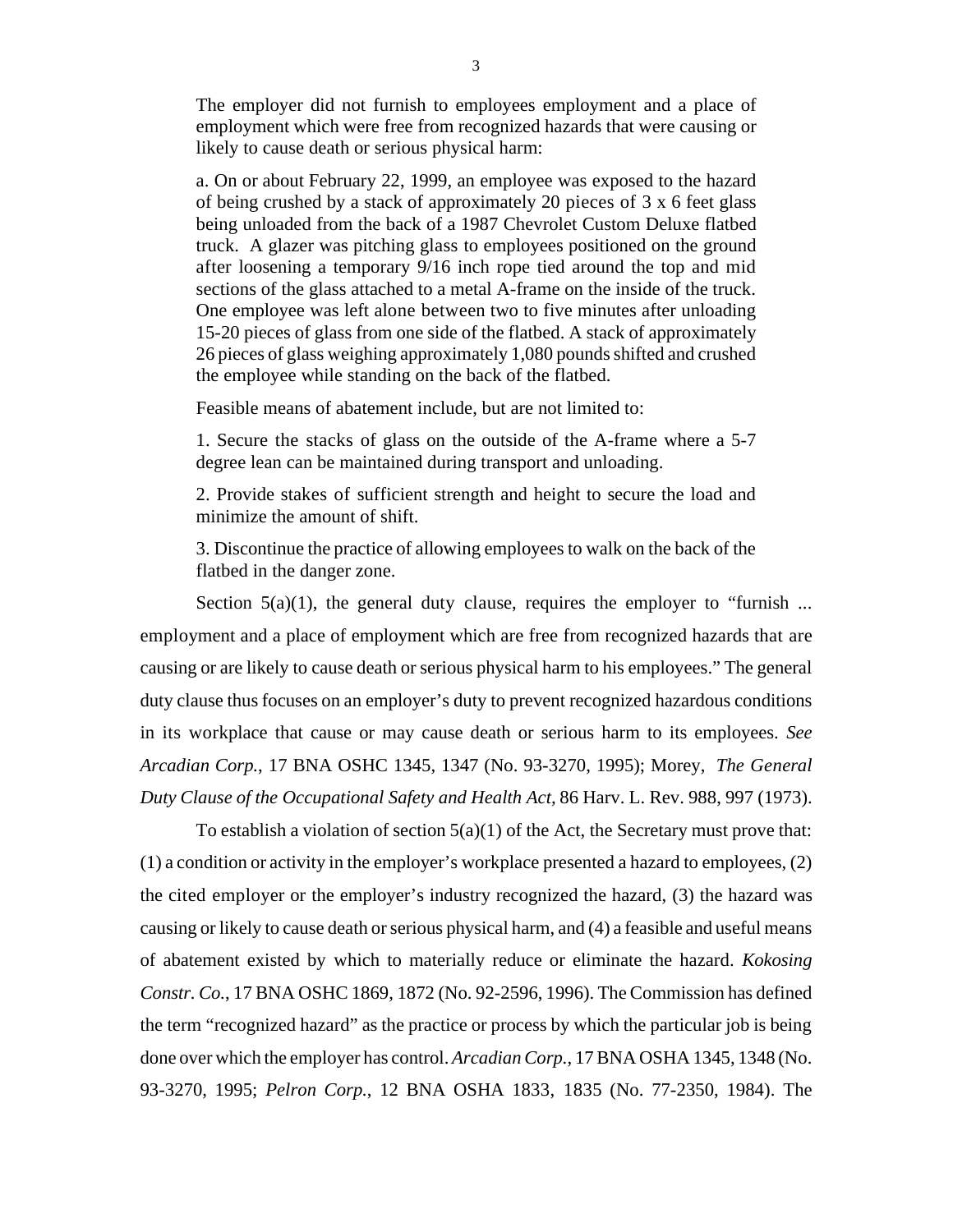The employer did not furnish to employees employment and a place of employment which were free from recognized hazards that were causing or likely to cause death or serious physical harm:

a. On or about February 22, 1999, an employee was exposed to the hazard of being crushed by a stack of approximately 20 pieces of 3 x 6 feet glass being unloaded from the back of a 1987 Chevrolet Custom Deluxe flatbed truck. A glazer was pitching glass to employees positioned on the ground after loosening a temporary 9/16 inch rope tied around the top and mid sections of the glass attached to a metal A-frame on the inside of the truck. One employee was left alone between two to five minutes after unloading 15-20 pieces of glass from one side of the flatbed. A stack of approximately 26 pieces of glass weighing approximately 1,080 pounds shifted and crushed the employee while standing on the back of the flatbed.

Feasible means of abatement include, but are not limited to:

1. Secure the stacks of glass on the outside of the A-frame where a 5-7 degree lean can be maintained during transport and unloading.

2. Provide stakes of sufficient strength and height to secure the load and minimize the amount of shift.

3. Discontinue the practice of allowing employees to walk on the back of the flatbed in the danger zone.

Section  $5(a)(1)$ , the general duty clause, requires the employer to "furnish ... employment and a place of employment which are free from recognized hazards that are causing or are likely to cause death or serious physical harm to his employees." The general duty clause thus focuses on an employer's duty to prevent recognized hazardous conditions in its workplace that cause or may cause death or serious harm to its employees. *See Arcadian Corp.*, 17 BNA OSHC 1345, 1347 (No. 93-3270, 1995); Morey, *The General Duty Clause of the Occupational Safety and Health Act,* 86 Harv. L. Rev. 988, 997 (1973).

To establish a violation of section  $5(a)(1)$  of the Act, the Secretary must prove that: (1) a condition or activity in the employer's workplace presented a hazard to employees, (2) the cited employer or the employer's industry recognized the hazard, (3) the hazard was causing or likely to cause death or serious physical harm, and (4) a feasible and useful means of abatement existed by which to materially reduce or eliminate the hazard. *Kokosing Constr. Co.*, 17 BNA OSHC 1869, 1872 (No. 92-2596, 1996). The Commission has defined the term "recognized hazard" as the practice or process by which the particular job is being done over which the employer has control. *Arcadian Corp.*, 17 BNA OSHA 1345, 1348 (No. 93-3270, 1995; *Pelron Corp.*, 12 BNA OSHA 1833, 1835 (No. 77-2350, 1984). The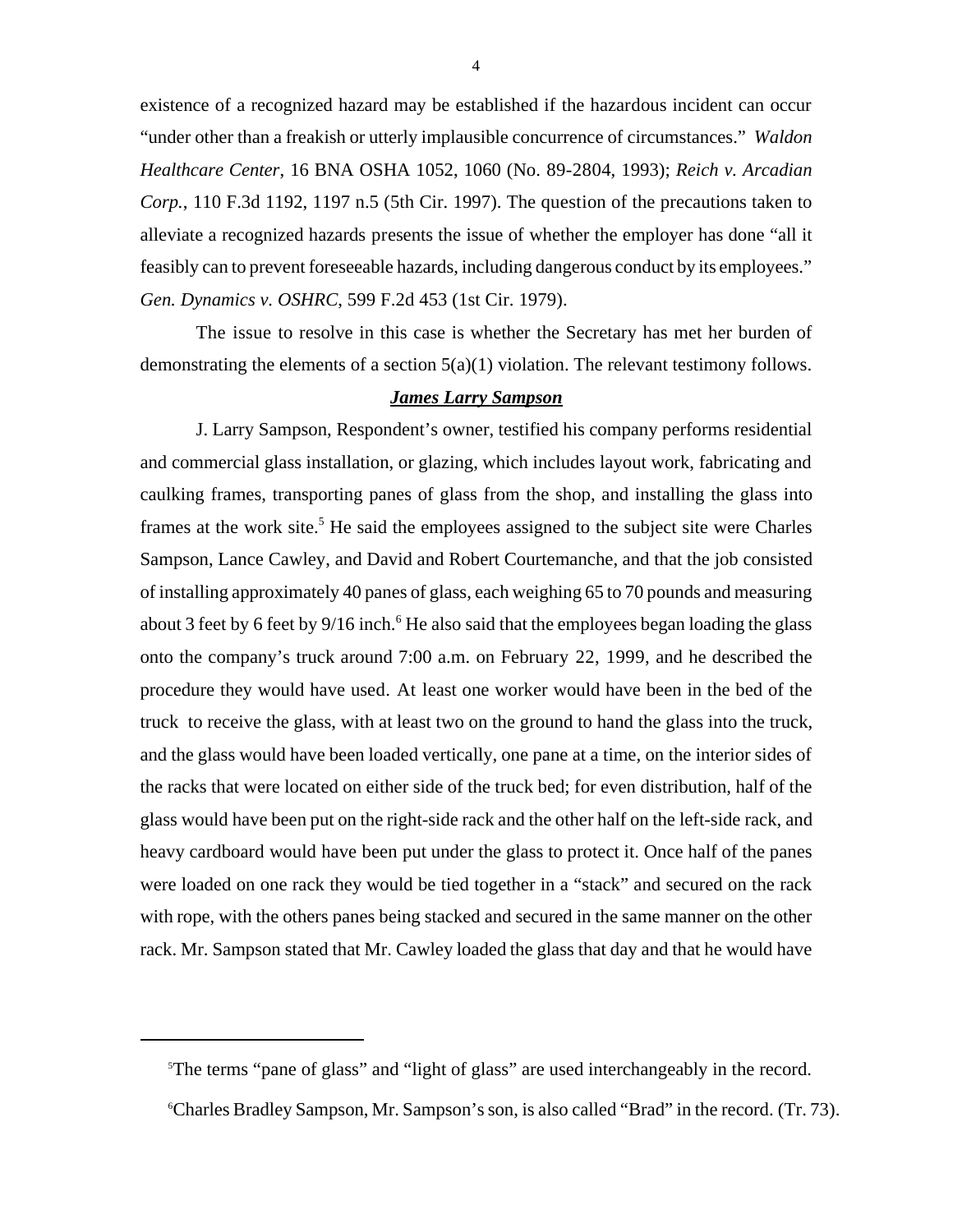existence of a recognized hazard may be established if the hazardous incident can occur "under other than a freakish or utterly implausible concurrence of circumstances." *Waldon Healthcare Center*, 16 BNA OSHA 1052, 1060 (No. 89-2804, 1993); *Reich v. Arcadian Corp.*, 110 F.3d 1192, 1197 n.5 (5th Cir. 1997). The question of the precautions taken to alleviate a recognized hazards presents the issue of whether the employer has done "all it feasibly can to prevent foreseeable hazards, including dangerous conduct by its employees." *Gen. Dynamics v. OSHRC*, 599 F.2d 453 (1st Cir. 1979).

The issue to resolve in this case is whether the Secretary has met her burden of demonstrating the elements of a section  $5(a)(1)$  violation. The relevant testimony follows.

### *James Larry Sampson*

J. Larry Sampson, Respondent's owner, testified his company performs residential and commercial glass installation, or glazing, which includes layout work, fabricating and caulking frames, transporting panes of glass from the shop, and installing the glass into frames at the work site.<sup>5</sup> He said the employees assigned to the subject site were Charles Sampson, Lance Cawley, and David and Robert Courtemanche, and that the job consisted of installing approximately 40 panes of glass, each weighing 65 to 70 pounds and measuring about 3 feet by 6 feet by 9/16 inch.<sup>6</sup> He also said that the employees began loading the glass onto the company's truck around 7:00 a.m. on February 22, 1999, and he described the procedure they would have used. At least one worker would have been in the bed of the truck to receive the glass, with at least two on the ground to hand the glass into the truck, and the glass would have been loaded vertically, one pane at a time, on the interior sides of the racks that were located on either side of the truck bed; for even distribution, half of the glass would have been put on the right-side rack and the other half on the left-side rack, and heavy cardboard would have been put under the glass to protect it. Once half of the panes were loaded on one rack they would be tied together in a "stack" and secured on the rack with rope, with the others panes being stacked and secured in the same manner on the other rack. Mr. Sampson stated that Mr. Cawley loaded the glass that day and that he would have

<sup>5</sup> The terms "pane of glass" and "light of glass" are used interchangeably in the record.

<sup>6</sup> Charles Bradley Sampson, Mr. Sampson's son, is also called "Brad" in the record. (Tr. 73).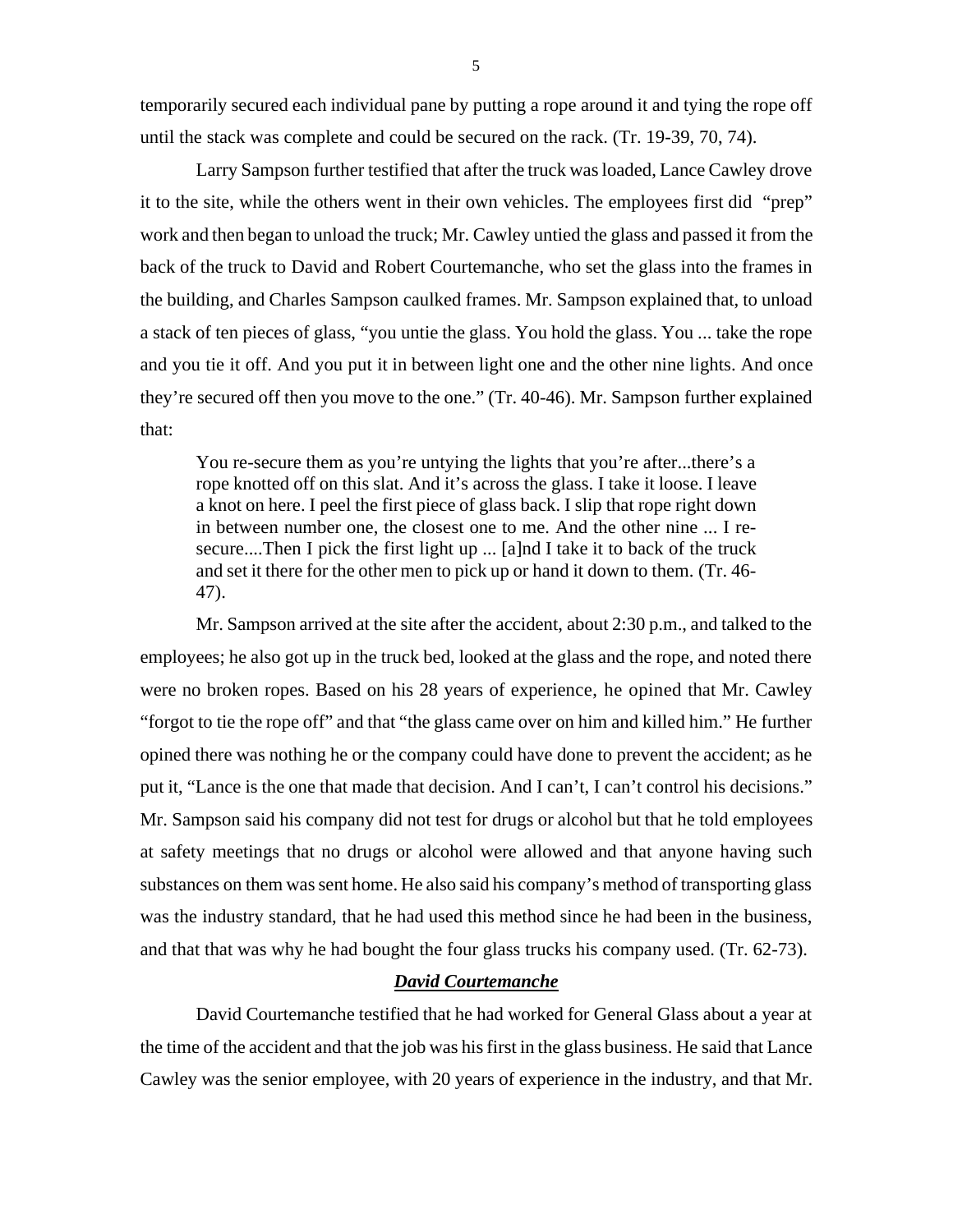temporarily secured each individual pane by putting a rope around it and tying the rope off until the stack was complete and could be secured on the rack. (Tr. 19-39, 70, 74).

Larry Sampson further testified that after the truck was loaded, Lance Cawley drove it to the site, while the others went in their own vehicles. The employees first did "prep" work and then began to unload the truck; Mr. Cawley untied the glass and passed it from the back of the truck to David and Robert Courtemanche, who set the glass into the frames in the building, and Charles Sampson caulked frames. Mr. Sampson explained that, to unload a stack of ten pieces of glass, "you untie the glass. You hold the glass. You ... take the rope and you tie it off. And you put it in between light one and the other nine lights. And once they're secured off then you move to the one." (Tr. 40-46). Mr. Sampson further explained that:

You re-secure them as you're untying the lights that you're after...there's a rope knotted off on this slat. And it's across the glass. I take it loose. I leave a knot on here. I peel the first piece of glass back. I slip that rope right down in between number one, the closest one to me. And the other nine ... I resecure....Then I pick the first light up ... [a]nd I take it to back of the truck and set it there for the other men to pick up or hand it down to them. (Tr. 46- 47).

Mr. Sampson arrived at the site after the accident, about 2:30 p.m., and talked to the employees; he also got up in the truck bed, looked at the glass and the rope, and noted there were no broken ropes. Based on his 28 years of experience, he opined that Mr. Cawley "forgot to tie the rope off" and that "the glass came over on him and killed him." He further opined there was nothing he or the company could have done to prevent the accident; as he put it, "Lance is the one that made that decision. And I can't, I can't control his decisions." Mr. Sampson said his company did not test for drugs or alcohol but that he told employees at safety meetings that no drugs or alcohol were allowed and that anyone having such substances on them was sent home. He also said his company's method of transporting glass was the industry standard, that he had used this method since he had been in the business, and that that was why he had bought the four glass trucks his company used. (Tr. 62-73).

## *David Courtemanche*

David Courtemanche testified that he had worked for General Glass about a year at the time of the accident and that the job was his first in the glass business. He said that Lance Cawley was the senior employee, with 20 years of experience in the industry, and that Mr.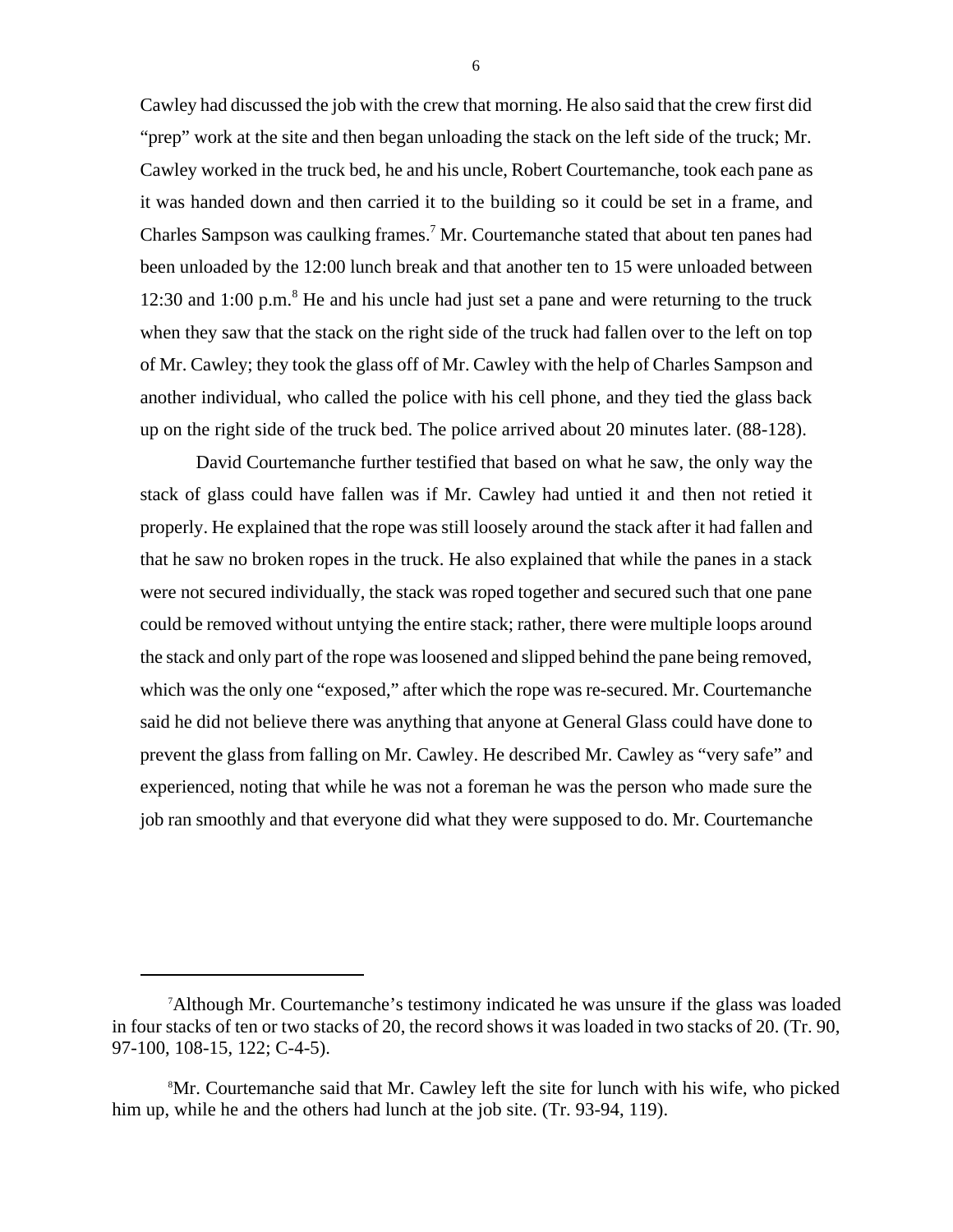Cawley had discussed the job with the crew that morning. He also said that the crew first did "prep" work at the site and then began unloading the stack on the left side of the truck; Mr. Cawley worked in the truck bed, he and his uncle, Robert Courtemanche, took each pane as it was handed down and then carried it to the building so it could be set in a frame, and Charles Sampson was caulking frames.<sup>7</sup> Mr. Courtemanche stated that about ten panes had been unloaded by the 12:00 lunch break and that another ten to 15 were unloaded between 12:30 and 1:00 p.m. $<sup>8</sup>$  He and his uncle had just set a pane and were returning to the truck</sup> when they saw that the stack on the right side of the truck had fallen over to the left on top of Mr. Cawley; they took the glass off of Mr. Cawley with the help of Charles Sampson and another individual, who called the police with his cell phone, and they tied the glass back up on the right side of the truck bed. The police arrived about 20 minutes later. (88-128).

David Courtemanche further testified that based on what he saw, the only way the stack of glass could have fallen was if Mr. Cawley had untied it and then not retied it properly. He explained that the rope was still loosely around the stack after it had fallen and that he saw no broken ropes in the truck. He also explained that while the panes in a stack were not secured individually, the stack was roped together and secured such that one pane could be removed without untying the entire stack; rather, there were multiple loops around the stack and only part of the rope was loosened and slipped behind the pane being removed, which was the only one "exposed," after which the rope was re-secured. Mr. Courtemanche said he did not believe there was anything that anyone at General Glass could have done to prevent the glass from falling on Mr. Cawley. He described Mr. Cawley as "very safe" and experienced, noting that while he was not a foreman he was the person who made sure the job ran smoothly and that everyone did what they were supposed to do. Mr. Courtemanche

<sup>&</sup>lt;sup>7</sup>Although Mr. Courtemanche's testimony indicated he was unsure if the glass was loaded in four stacks of ten or two stacks of 20, the record shows it was loaded in two stacks of 20. (Tr. 90, 97-100, 108-15, 122; C-4-5).

<sup>8</sup> Mr. Courtemanche said that Mr. Cawley left the site for lunch with his wife, who picked him up, while he and the others had lunch at the job site. (Tr. 93-94, 119).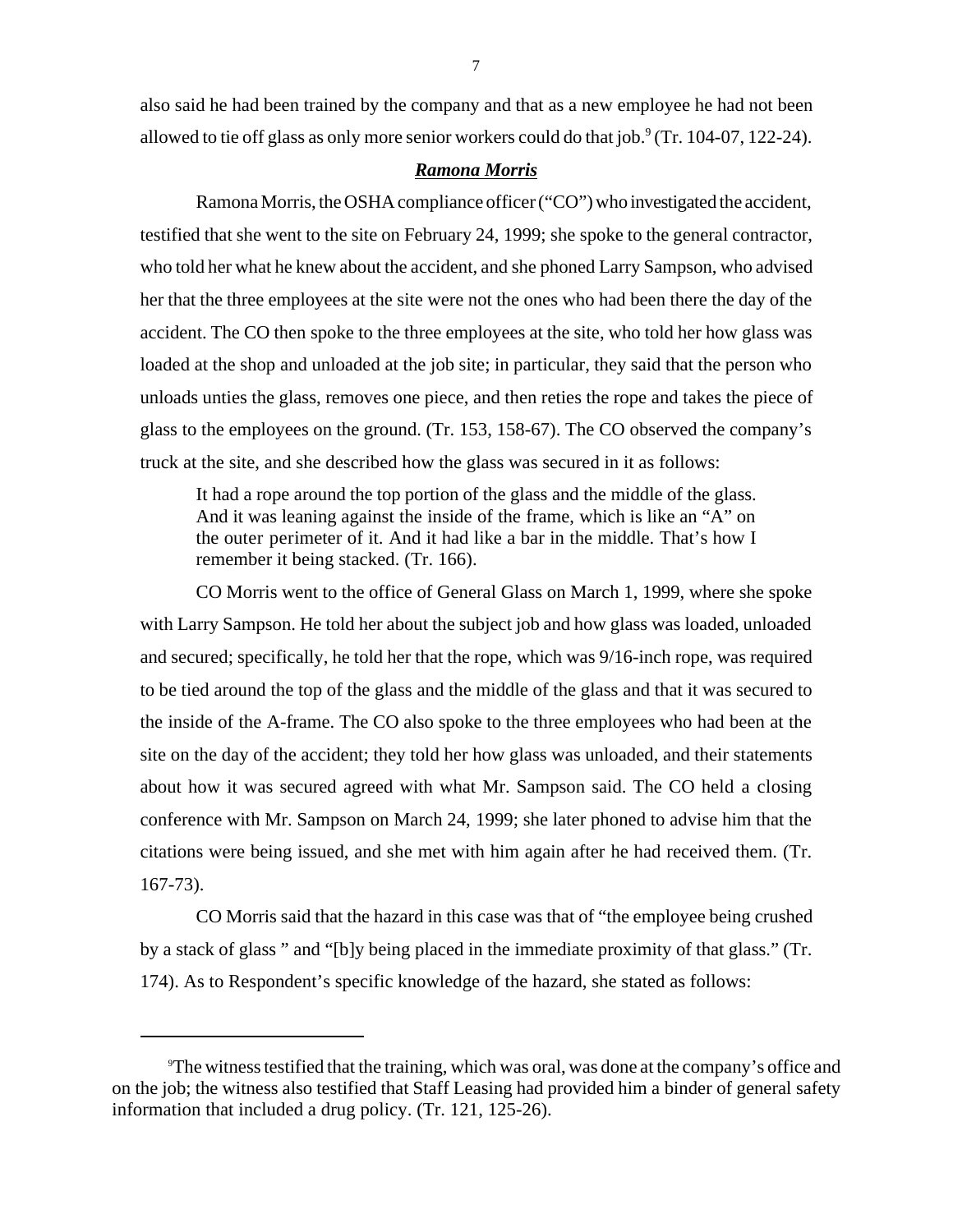also said he had been trained by the company and that as a new employee he had not been allowed to tie off glass as only more senior workers could do that job. $9$  (Tr. 104-07, 122-24).

## *Ramona Morris*

Ramona Morris, the OSHA compliance officer ("CO") who investigated the accident, testified that she went to the site on February 24, 1999; she spoke to the general contractor, who told her what he knew about the accident, and she phoned Larry Sampson, who advised her that the three employees at the site were not the ones who had been there the day of the accident. The CO then spoke to the three employees at the site, who told her how glass was loaded at the shop and unloaded at the job site; in particular, they said that the person who unloads unties the glass, removes one piece, and then reties the rope and takes the piece of glass to the employees on the ground. (Tr. 153, 158-67). The CO observed the company's truck at the site, and she described how the glass was secured in it as follows:

It had a rope around the top portion of the glass and the middle of the glass. And it was leaning against the inside of the frame, which is like an "A" on the outer perimeter of it. And it had like a bar in the middle. That's how I remember it being stacked. (Tr. 166).

CO Morris went to the office of General Glass on March 1, 1999, where she spoke with Larry Sampson. He told her about the subject job and how glass was loaded, unloaded and secured; specifically, he told her that the rope, which was 9/16-inch rope, was required to be tied around the top of the glass and the middle of the glass and that it was secured to the inside of the A-frame. The CO also spoke to the three employees who had been at the site on the day of the accident; they told her how glass was unloaded, and their statements about how it was secured agreed with what Mr. Sampson said. The CO held a closing conference with Mr. Sampson on March 24, 1999; she later phoned to advise him that the citations were being issued, and she met with him again after he had received them. (Tr. 167-73).

CO Morris said that the hazard in this case was that of "the employee being crushed by a stack of glass " and "[b]y being placed in the immediate proximity of that glass." (Tr. 174). As to Respondent's specific knowledge of the hazard, she stated as follows:

<sup>9</sup> The witness testified that the training, which was oral, was done at the company's office and on the job; the witness also testified that Staff Leasing had provided him a binder of general safety information that included a drug policy. (Tr. 121, 125-26).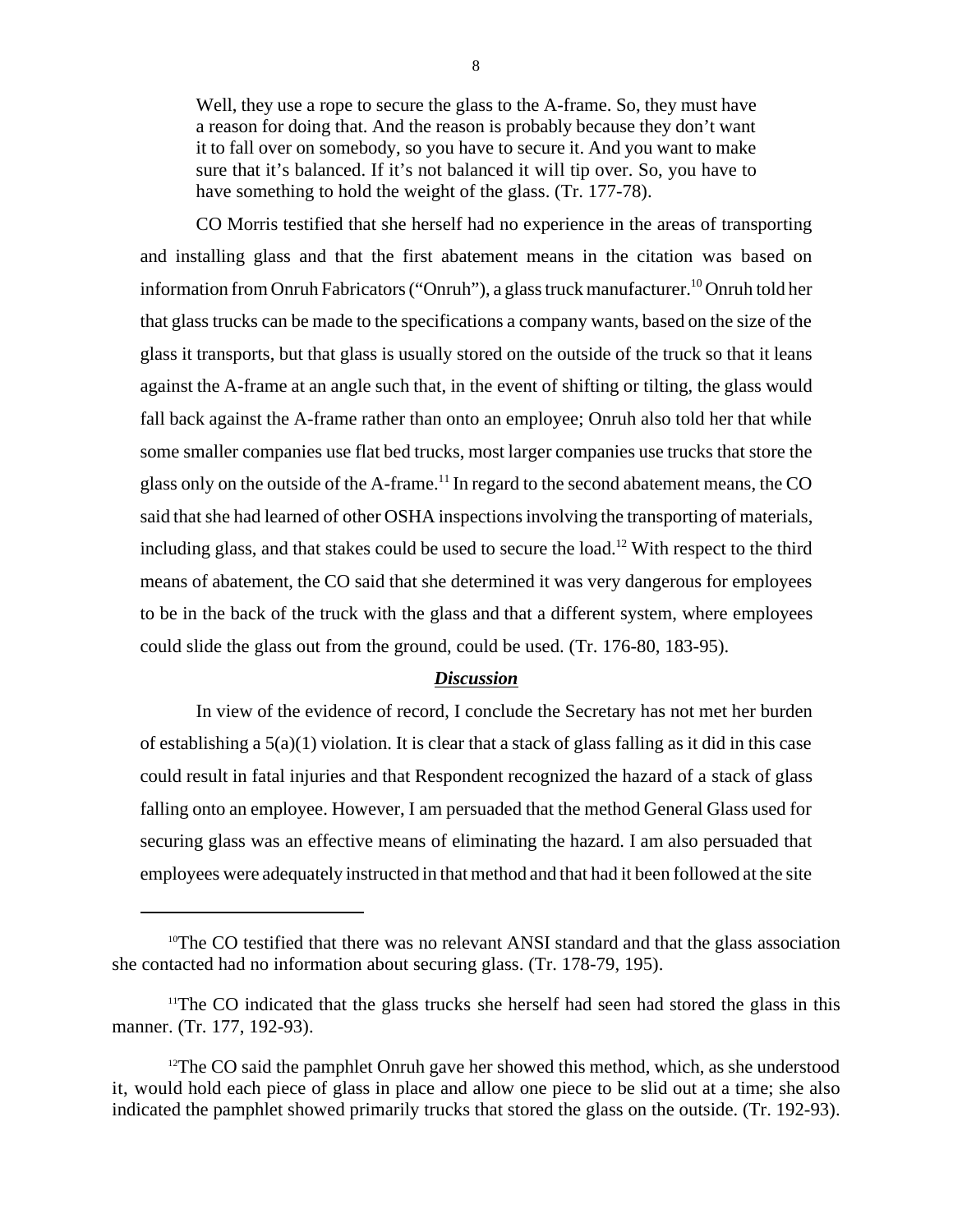Well, they use a rope to secure the glass to the A-frame. So, they must have a reason for doing that. And the reason is probably because they don't want it to fall over on somebody, so you have to secure it. And you want to make sure that it's balanced. If it's not balanced it will tip over. So, you have to have something to hold the weight of the glass. (Tr. 177-78).

CO Morris testified that she herself had no experience in the areas of transporting and installing glass and that the first abatement means in the citation was based on information from Onruh Fabricators ("Onruh"), a glass truck manufacturer.<sup>10</sup> Onruh told her that glass trucks can be made to the specifications a company wants, based on the size of the glass it transports, but that glass is usually stored on the outside of the truck so that it leans against the A-frame at an angle such that, in the event of shifting or tilting, the glass would fall back against the A-frame rather than onto an employee; Onruh also told her that while some smaller companies use flat bed trucks, most larger companies use trucks that store the glass only on the outside of the A-frame.<sup>11</sup> In regard to the second abatement means, the CO said that she had learned of other OSHA inspections involving the transporting of materials, including glass, and that stakes could be used to secure the load.<sup>12</sup> With respect to the third means of abatement, the CO said that she determined it was very dangerous for employees to be in the back of the truck with the glass and that a different system, where employees could slide the glass out from the ground, could be used. (Tr. 176-80, 183-95).

## *Discussion*

In view of the evidence of record, I conclude the Secretary has not met her burden of establishing a  $5(a)(1)$  violation. It is clear that a stack of glass falling as it did in this case could result in fatal injuries and that Respondent recognized the hazard of a stack of glass falling onto an employee. However, I am persuaded that the method General Glass used for securing glass was an effective means of eliminating the hazard. I am also persuaded that employees were adequately instructed in that method and that had it been followed at the site

<sup>&</sup>lt;sup>10</sup>The CO testified that there was no relevant ANSI standard and that the glass association she contacted had no information about securing glass. (Tr. 178-79, 195).

<sup>&</sup>lt;sup>11</sup>The CO indicated that the glass trucks she herself had seen had stored the glass in this manner. (Tr. 177, 192-93).

 $12$ The CO said the pamphlet Onruh gave her showed this method, which, as she understood it, would hold each piece of glass in place and allow one piece to be slid out at a time; she also indicated the pamphlet showed primarily trucks that stored the glass on the outside. (Tr. 192-93).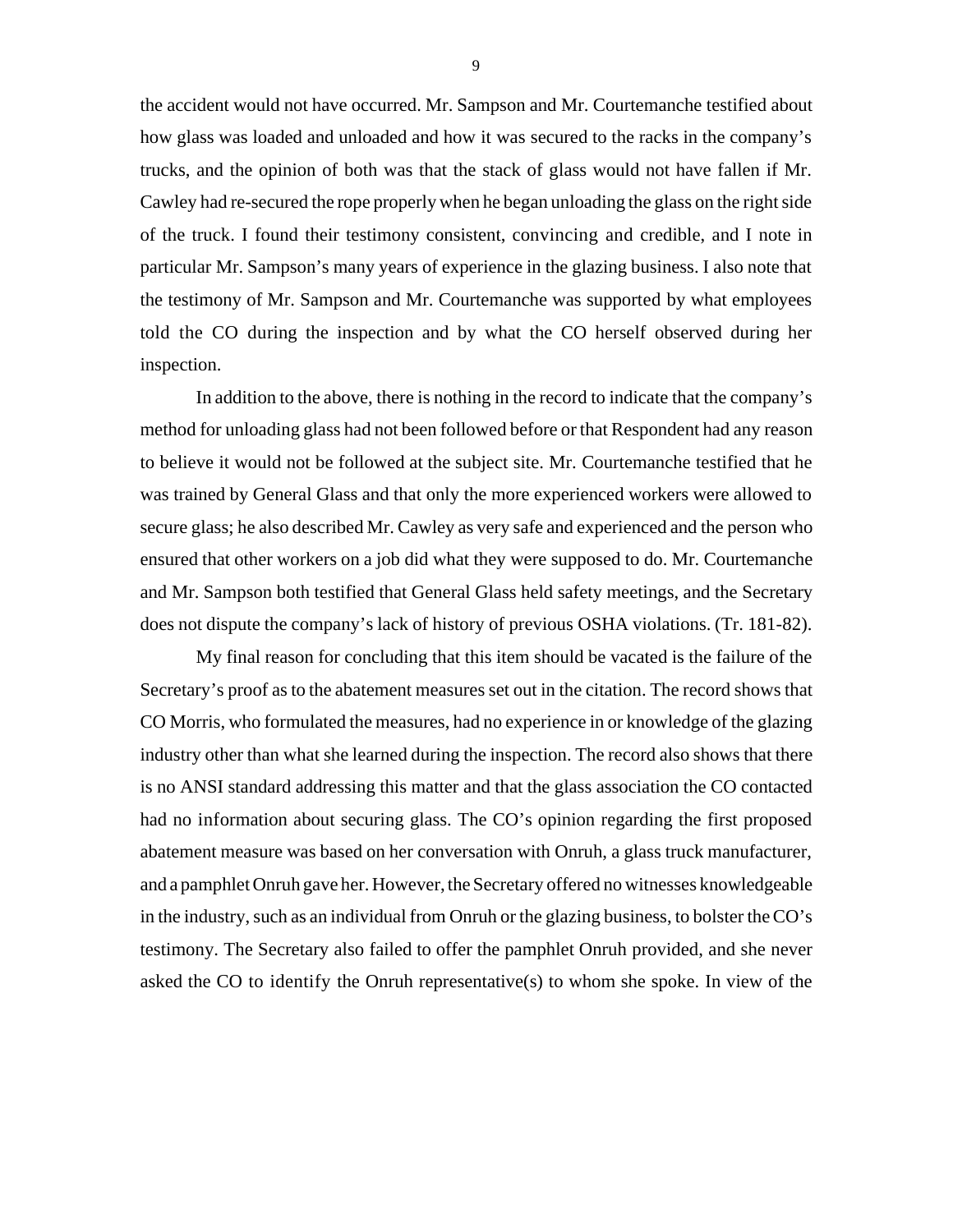the accident would not have occurred. Mr. Sampson and Mr. Courtemanche testified about how glass was loaded and unloaded and how it was secured to the racks in the company's trucks, and the opinion of both was that the stack of glass would not have fallen if Mr. Cawley had re-secured the rope properly when he began unloading the glass on the right side of the truck. I found their testimony consistent, convincing and credible, and I note in particular Mr. Sampson's many years of experience in the glazing business. I also note that the testimony of Mr. Sampson and Mr. Courtemanche was supported by what employees told the CO during the inspection and by what the CO herself observed during her inspection.

In addition to the above, there is nothing in the record to indicate that the company's method for unloading glass had not been followed before or that Respondent had any reason to believe it would not be followed at the subject site. Mr. Courtemanche testified that he was trained by General Glass and that only the more experienced workers were allowed to secure glass; he also described Mr. Cawley as very safe and experienced and the person who ensured that other workers on a job did what they were supposed to do. Mr. Courtemanche and Mr. Sampson both testified that General Glass held safety meetings, and the Secretary does not dispute the company's lack of history of previous OSHA violations. (Tr. 181-82).

My final reason for concluding that this item should be vacated is the failure of the Secretary's proof as to the abatement measures set out in the citation. The record shows that CO Morris, who formulated the measures, had no experience in or knowledge of the glazing industry other than what she learned during the inspection. The record also shows that there is no ANSI standard addressing this matter and that the glass association the CO contacted had no information about securing glass. The CO's opinion regarding the first proposed abatement measure was based on her conversation with Onruh, a glass truck manufacturer, and a pamphlet Onruh gave her. However, the Secretary offered no witnesses knowledgeable in the industry, such as an individual from Onruh or the glazing business, to bolster the CO's testimony. The Secretary also failed to offer the pamphlet Onruh provided, and she never asked the CO to identify the Onruh representative(s) to whom she spoke. In view of the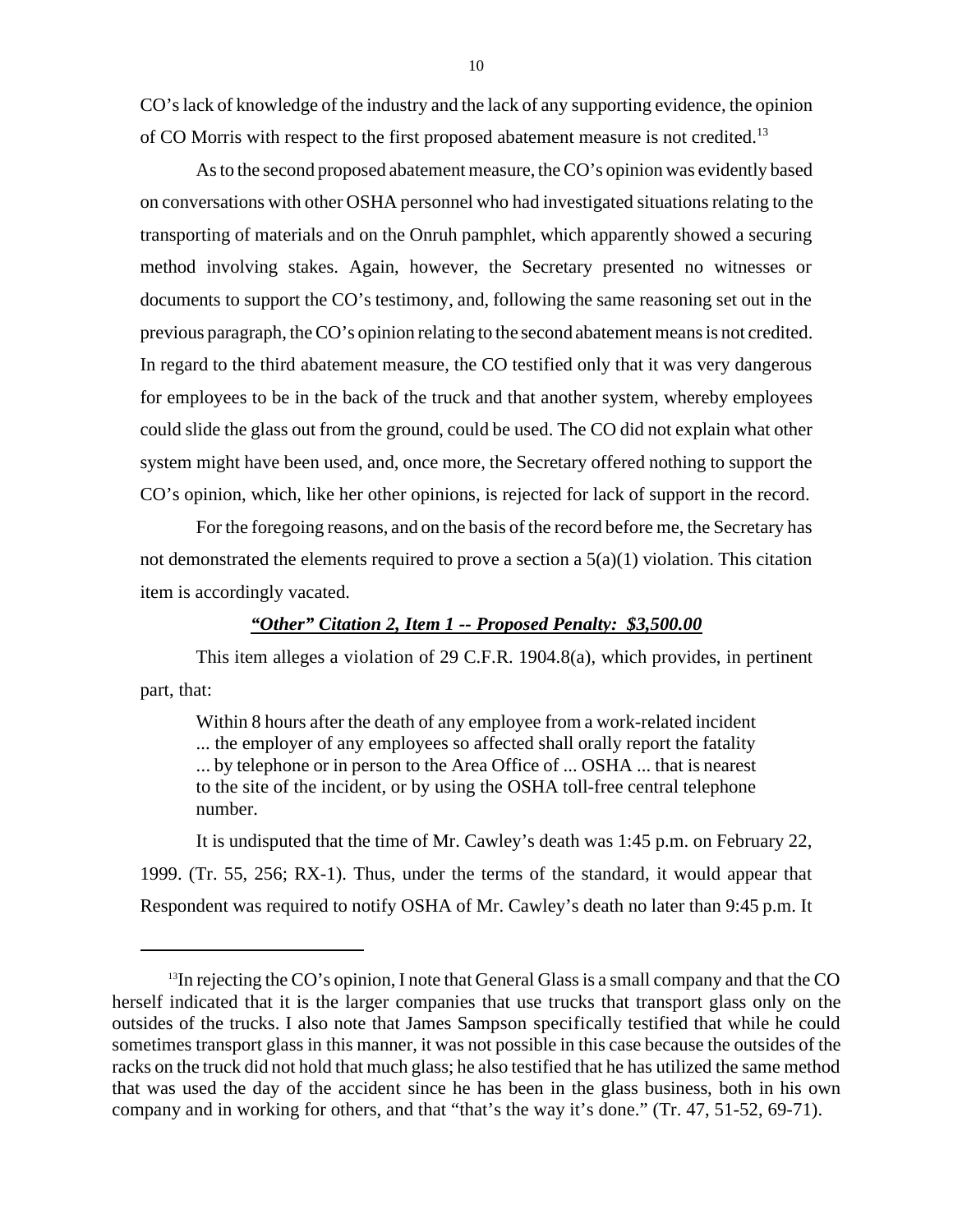CO's lack of knowledge of the industry and the lack of any supporting evidence, the opinion of CO Morris with respect to the first proposed abatement measure is not credited.<sup>13</sup>

As to the second proposed abatement measure, the CO's opinion was evidently based on conversations with other OSHA personnel who had investigated situations relating to the transporting of materials and on the Onruh pamphlet, which apparently showed a securing method involving stakes. Again, however, the Secretary presented no witnesses or documents to support the CO's testimony, and, following the same reasoning set out in the previous paragraph, the CO's opinion relating to the second abatement means is not credited. In regard to the third abatement measure, the CO testified only that it was very dangerous for employees to be in the back of the truck and that another system, whereby employees could slide the glass out from the ground, could be used. The CO did not explain what other system might have been used, and, once more, the Secretary offered nothing to support the CO's opinion, which, like her other opinions, is rejected for lack of support in the record.

For the foregoing reasons, and on the basis of the record before me, the Secretary has not demonstrated the elements required to prove a section a  $5(a)(1)$  violation. This citation item is accordingly vacated.

## *"Other" Citation 2, Item 1 -- Proposed Penalty: \$3,500.00*

This item alleges a violation of 29 C.F.R. 1904.8(a), which provides, in pertinent part, that:

Within 8 hours after the death of any employee from a work-related incident ... the employer of any employees so affected shall orally report the fatality ... by telephone or in person to the Area Office of ... OSHA ... that is nearest to the site of the incident, or by using the OSHA toll-free central telephone number.

It is undisputed that the time of Mr. Cawley's death was 1:45 p.m. on February 22, 1999. (Tr. 55, 256; RX-1). Thus, under the terms of the standard, it would appear that Respondent was required to notify OSHA of Mr. Cawley's death no later than 9:45 p.m. It

 $<sup>13</sup>$ In rejecting the CO's opinion, I note that General Glass is a small company and that the CO</sup> herself indicated that it is the larger companies that use trucks that transport glass only on the outsides of the trucks. I also note that James Sampson specifically testified that while he could sometimes transport glass in this manner, it was not possible in this case because the outsides of the racks on the truck did not hold that much glass; he also testified that he has utilized the same method that was used the day of the accident since he has been in the glass business, both in his own company and in working for others, and that "that's the way it's done." (Tr. 47, 51-52, 69-71).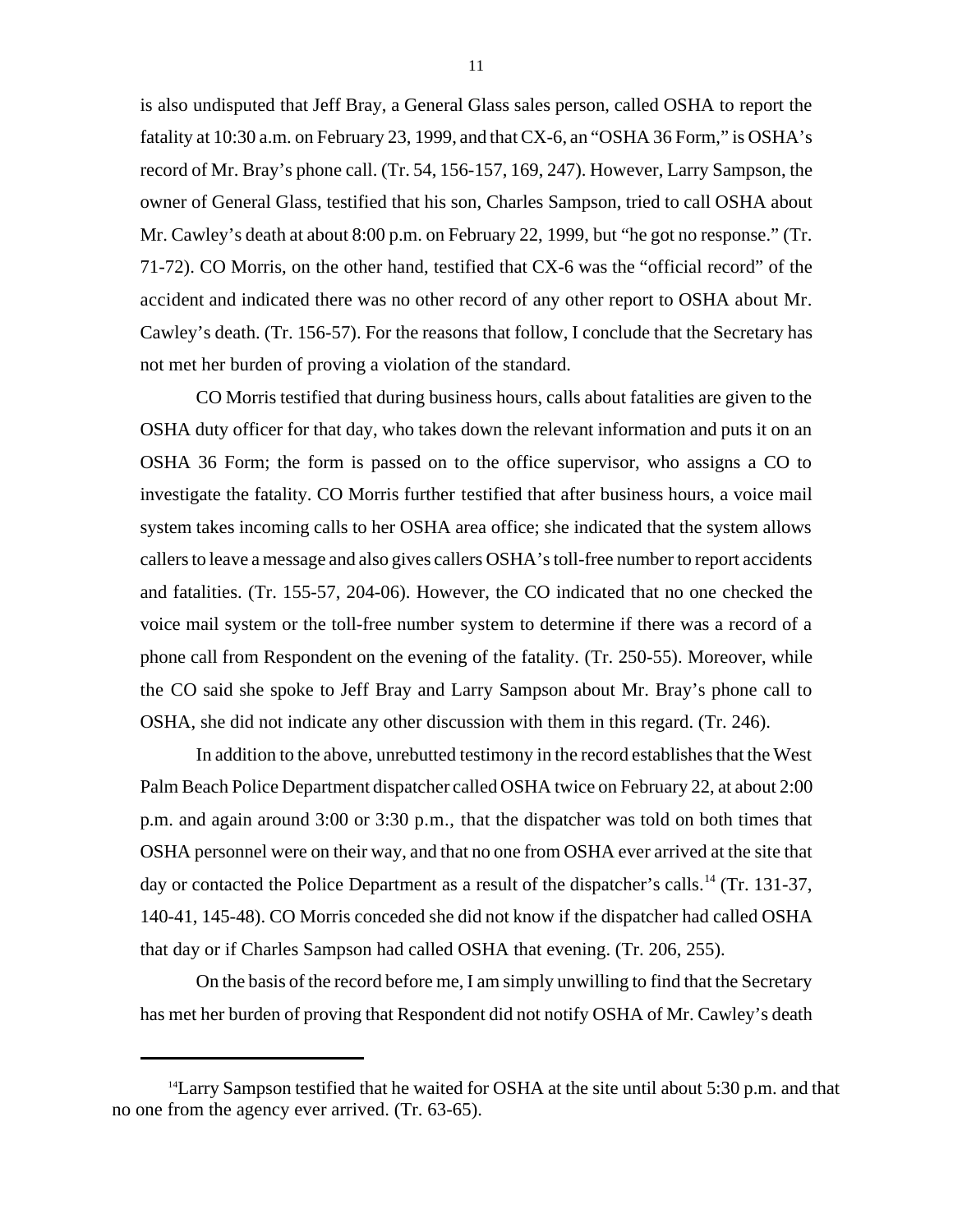is also undisputed that Jeff Bray, a General Glass sales person, called OSHA to report the fatality at 10:30 a.m. on February 23, 1999, and that CX-6, an "OSHA 36 Form," is OSHA's record of Mr. Bray's phone call. (Tr. 54, 156-157, 169, 247). However, Larry Sampson, the owner of General Glass, testified that his son, Charles Sampson, tried to call OSHA about Mr. Cawley's death at about 8:00 p.m. on February 22, 1999, but "he got no response." (Tr. 71-72). CO Morris, on the other hand, testified that CX-6 was the "official record" of the accident and indicated there was no other record of any other report to OSHA about Mr. Cawley's death. (Tr. 156-57). For the reasons that follow, I conclude that the Secretary has not met her burden of proving a violation of the standard.

CO Morris testified that during business hours, calls about fatalities are given to the OSHA duty officer for that day, who takes down the relevant information and puts it on an OSHA 36 Form; the form is passed on to the office supervisor, who assigns a CO to investigate the fatality. CO Morris further testified that after business hours, a voice mail system takes incoming calls to her OSHA area office; she indicated that the system allows callers to leave a message and also gives callers OSHA's toll-free number to report accidents and fatalities. (Tr. 155-57, 204-06). However, the CO indicated that no one checked the voice mail system or the toll-free number system to determine if there was a record of a phone call from Respondent on the evening of the fatality. (Tr. 250-55). Moreover, while the CO said she spoke to Jeff Bray and Larry Sampson about Mr. Bray's phone call to OSHA, she did not indicate any other discussion with them in this regard. (Tr. 246).

In addition to the above, unrebutted testimony in the record establishes that the West Palm Beach Police Department dispatcher called OSHA twice on February 22, at about 2:00 p.m. and again around 3:00 or 3:30 p.m., that the dispatcher was told on both times that OSHA personnel were on their way, and that no one from OSHA ever arrived at the site that day or contacted the Police Department as a result of the dispatcher's calls.<sup>14</sup> (Tr. 131-37, 140-41, 145-48). CO Morris conceded she did not know if the dispatcher had called OSHA that day or if Charles Sampson had called OSHA that evening. (Tr. 206, 255).

On the basis of the record before me, I am simply unwilling to find that the Secretary has met her burden of proving that Respondent did not notify OSHA of Mr. Cawley's death

<sup>&</sup>lt;sup>14</sup> Larry Sampson testified that he waited for OSHA at the site until about 5:30 p.m. and that no one from the agency ever arrived. (Tr. 63-65).